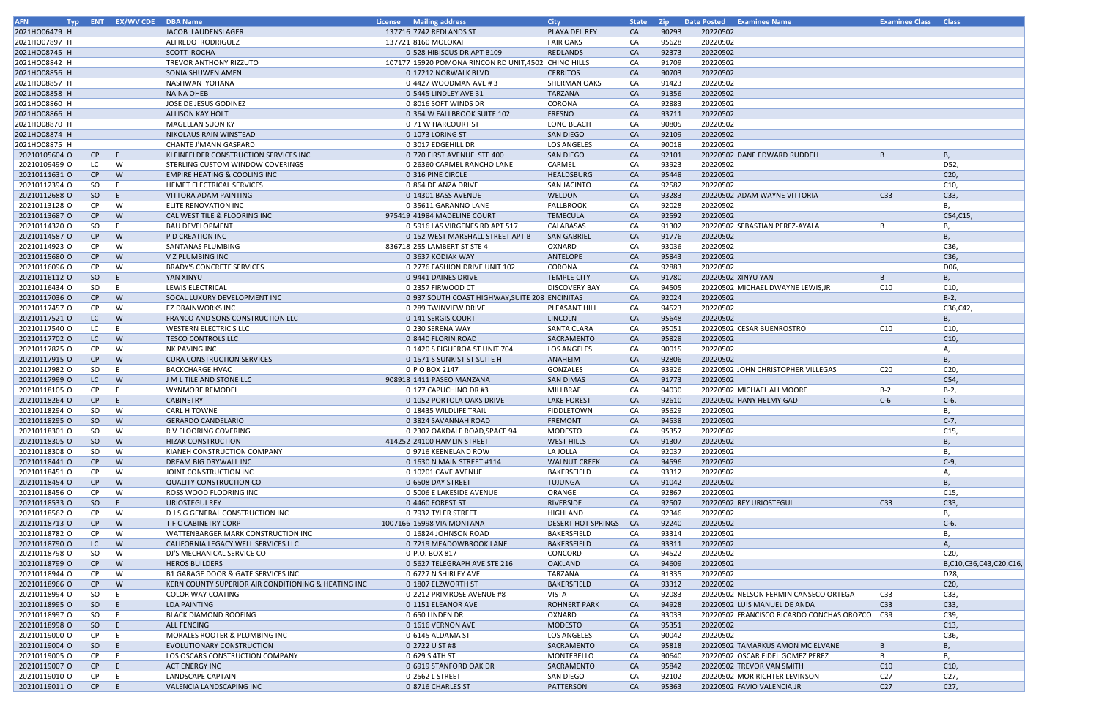| <b>AFN</b>    | <b>ENT</b> | <b>EX/WV CDE</b> | <b>DBA Name</b>                                     | <b>License</b> Mailing address                       |                           |              |       |                                           | <b>Examinee Class</b> | <b>Class</b>          |
|---------------|------------|------------------|-----------------------------------------------------|------------------------------------------------------|---------------------------|--------------|-------|-------------------------------------------|-----------------------|-----------------------|
| Typ.          |            |                  |                                                     |                                                      | <b>City</b>               | <b>State</b> | Zip   | Date Posted<br><b>Examinee Name</b>       |                       |                       |
| 2021HO06479 H |            |                  | JACOB LAUDENSLAGER                                  | 137716 7742 REDLANDS ST                              | PLAYA DEL REY             | CA           | 90293 | 20220502                                  |                       |                       |
| 2021HO07897 H |            |                  | ALFREDO RODRIGUEZ                                   | 137721 8160 MOLOKAI                                  | <b>FAIR OAKS</b>          | CA           | 95628 | 20220502                                  |                       |                       |
| 2021HO08745 H |            |                  | SCOTT ROCHA                                         | 0 528 HIBISCUS DR APT B109                           | <b>REDLANDS</b>           | <b>CA</b>    | 92373 | 20220502                                  |                       |                       |
| 2021HO08842 H |            |                  | TREVOR ANTHONY RIZZUTO                              | 107177 15920 POMONA RINCON RD UNIT, 4502 CHINO HILLS |                           | CA           | 91709 | 20220502                                  |                       |                       |
| 2021HO08856 H |            |                  | SONIA SHUWEN AMEN                                   | 0 17212 NORWALK BLVD                                 | <b>CERRITOS</b>           | CA           | 90703 | 20220502                                  |                       |                       |
| 2021HO08857 H |            |                  | NASHWAN YOHANA                                      | 0 4427 WOODMAN AVE #3                                | <b>SHERMAN OAKS</b>       | CA           | 91423 | 20220502                                  |                       |                       |
| 2021HO08858 H |            |                  | NA NA OHEB                                          | 0 5445 LINDLEY AVE 31                                | <b>TARZANA</b>            | <b>CA</b>    | 91356 | 20220502                                  |                       |                       |
| 2021HO08860 H |            |                  | JOSE DE JESUS GODINEZ                               | 0 8016 SOFT WINDS DR                                 | CORONA                    | CA           | 92883 | 20220502                                  |                       |                       |
|               |            |                  |                                                     |                                                      |                           |              |       |                                           |                       |                       |
| 2021HO08866 H |            |                  | <b>ALLISON KAY HOLT</b>                             | 0 364 W FALLBROOK SUITE 102                          | <b>FRESNO</b>             | <b>CA</b>    | 93711 | 20220502                                  |                       |                       |
| 2021HO08870 H |            |                  | <b>MAGELLAN SUON KY</b>                             | 0 71 W HARCOURT ST                                   | LONG BEACH                | CA           | 90805 | 20220502                                  |                       |                       |
| 2021HO08874 H |            |                  | NIKOLAUS RAIN WINSTEAD                              | 0 1073 LORING ST                                     | SAN DIEGO                 | CA           | 92109 | 20220502                                  |                       |                       |
| 2021HO08875 H |            |                  | <b>CHANTE J'MANN GASPARD</b>                        | 0 3017 EDGEHILL DR                                   | <b>LOS ANGELES</b>        | CA           | 90018 | 20220502                                  |                       |                       |
| 20210105604 O | CP         | E.               | KLEINFELDER CONSTRUCTION SERVICES INC               | 0 770 FIRST AVENUE STE 400                           | SAN DIEGO                 | <b>CA</b>    | 92101 | 20220502 DANE EDWARD RUDDELL              | -B                    | В,                    |
| 20210109499 O | LC         | W                | STERLING CUSTOM WINDOW COVERINGS                    | 0 26360 CARMEL RANCHO LANE                           | CARMEL                    | CA           | 93923 | 20220502                                  |                       | D52,                  |
| 20210111631 0 | CP         | W                | <b>EMPIRE HEATING &amp; COOLING INC</b>             | 0 316 PINE CIRCLE                                    | HEALDSBURG                | CA           | 95448 | 20220502                                  |                       | C <sub>20</sub>       |
| 20210112394 O | SO         | E                | HEMET ELECTRICAL SERVICES                           | 0 864 DE ANZA DRIVE                                  | <b>SAN JACINTO</b>        | CA           | 92582 | 20220502                                  |                       | C10,                  |
| 20210112688 O | SO         | E.               | VITTORA ADAM PAINTING                               | 0 14301 BASS AVENUE                                  | WELDON                    | CA           | 93283 | 20220502 ADAM WAYNE VITTORIA              | C33                   | C33,                  |
|               |            |                  |                                                     |                                                      |                           |              |       |                                           |                       |                       |
| 20210113128 O | CP         | W                | ELITE RENOVATION INC                                | 0 35611 GARANNO LANE                                 | <b>FALLBROOK</b>          | CA           | 92028 | 20220502                                  |                       | В,                    |
| 20210113687 O | CP         | W                | CAL WEST TILE & FLOORING INC                        | 975419 41984 MADELINE COURT                          | <b>TEMECULA</b>           | CA           | 92592 | 20220502                                  |                       | C54, C15,             |
| 20210114320 O | SO         | E                | <b>BAU DEVELOPMENT</b>                              | 0 5916 LAS VIRGENES RD APT 517                       | CALABASAS                 | CA           | 91302 | 20220502 SEBASTIAN PEREZ-AYALA            | B                     |                       |
| 20210114587 O | CP         | W                | P D CREATION INC                                    | 0 152 WEST MARSHALL STREET APT B                     | <b>SAN GABRIEL</b>        | <b>CA</b>    | 91776 | 20220502                                  |                       | <b>B.</b>             |
| 20210114923 O | CP         | W                | SANTANAS PLUMBING                                   | 836718 255 LAMBERT ST STE 4                          | OXNARD                    | CA           | 93036 | 20220502                                  |                       | C36,                  |
| 20210115680 O | CP         | W                | V Z PLUMBING INC                                    | 0 3637 KODIAK WAY                                    | <b>ANTELOPE</b>           | CA           | 95843 | 20220502                                  |                       | C36,                  |
| 20210116096 O | CP.        | W                | <b>BRADY'S CONCRETE SERVICES</b>                    | 0 2776 FASHION DRIVE UNIT 102                        | CORONA                    | CA           | 92883 | 20220502                                  |                       | D06,                  |
| 20210116112 0 | SO         | E                | YAN XINYU                                           | 0 9441 DAINES DRIVE                                  | <b>TEMPLE CITY</b>        | <b>CA</b>    | 91780 | 20220502 XINYU YAN                        | B                     | В,                    |
|               |            |                  |                                                     |                                                      |                           |              |       |                                           |                       |                       |
| 20210116434 O | SO         | E                | LEWIS ELECTRICAL                                    | 0 2357 FIRWOOD CT                                    | <b>DISCOVERY BAY</b>      | CA           | 94505 | 20220502 MICHAEL DWAYNE LEWIS, JR         | C10                   | C10                   |
| 20210117036 O | CP         | <b>W</b>         | SOCAL LUXURY DEVELOPMENT INC                        | 0 937 SOUTH COAST HIGHWAY, SUITE 208 ENCINITAS       |                           | <b>CA</b>    | 92024 | 20220502                                  |                       | $B-2$ ,               |
| 20210117457 O | CP         | W                | <b>EZ DRAINWORKS INC</b>                            | 0 289 TWINVIEW DRIVE                                 | PLEASANT HILL             | CA           | 94523 | 20220502                                  |                       | C36, C42,             |
| 20210117521 0 | LC         | <b>W</b>         | FRANCO AND SONS CONSTRUCTION LLC                    | 0 141 SERGIS COURT                                   | <b>LINCOLN</b>            | <b>CA</b>    | 95648 | 20220502                                  |                       |                       |
| 20210117540 O | LC         | E                | <b>WESTERN ELECTRIC S LLC</b>                       | 0 230 SERENA WAY                                     | SANTA CLARA               | CA           | 95051 | 20220502 CESAR BUENROSTRO                 | C10                   | C10,                  |
| 20210117702 O | LC         | W                | <b>TESCO CONTROLS LLC</b>                           | 0 8440 FLORIN ROAD                                   | SACRAMENTO                | CA           | 95828 | 20220502                                  |                       | C10,                  |
| 20210117825 O | CP         | W                | <b>NK PAVING INC</b>                                | 0 1420 S FIGUEROA ST UNIT 704                        | <b>LOS ANGELES</b>        | CA           | 90015 | 20220502                                  |                       | Α,                    |
| 20210117915 O | CP         | W                | <b>CURA CONSTRUCTION SERVICES</b>                   | 0 1571 S SUNKIST ST SUITE H                          | ANAHEIM                   | <b>CA</b>    | 92806 | 20220502                                  |                       | Β,                    |
| 20210117982 O | SO         | E                | <b>BACKCHARGE HVAC</b>                              | 0 P O BOX 2147                                       | GONZALES                  | CA           | 93926 | 20220502 JOHN CHRISTOPHER VILLEGAS        | C <sub>20</sub>       | C20,                  |
| 20210117999 O | LC .       | <b>W</b>         |                                                     | 908918 1411 PASEO MANZANA                            | <b>SAN DIMAS</b>          | <b>CA</b>    | 91773 | 20220502                                  |                       | C54,                  |
|               |            |                  | J M L TILE AND STONE LLC                            |                                                      |                           |              |       |                                           |                       |                       |
| 20210118105 O | CP.        | E                | <b>WYNMORE REMODEL</b>                              | 0 177 CAPUCHINO DR #3                                | MILLBRAE                  | CA           | 94030 | 20220502 MICHAEL ALI MOORE                | $B-2$                 | $B-2$                 |
| 20210118264 O | CP         | E                | <b>CABINETRY</b>                                    | 0 1052 PORTOLA OAKS DRIVE                            | <b>LAKE FOREST</b>        | CA           | 92610 | 20220502 HANY HELMY GAD                   | $C-6$                 | $C-6$                 |
| 20210118294 O | SO         | W                | <b>CARL H TOWNE</b>                                 | 0 18435 WILDLIFE TRAIL                               | <b>FIDDLETOWN</b>         | CA           | 95629 | 20220502                                  |                       | В,                    |
| 20210118295 O | SO         | W                | <b>GERARDO CANDELARIO</b>                           | 0 3824 SAVANNAH ROAD                                 | <b>FREMONT</b>            | CA           | 94538 | 20220502                                  |                       | $C-7,$                |
| 20210118301 O | SO         | W                | R V FLOORING COVERING                               | 0 2307 OAKDALE ROAD, SPACE 94                        | <b>MODESTO</b>            | CA           | 95357 | 20220502                                  |                       | C15,                  |
| 20210118305 O | SO         | W                | <b>HIZAK CONSTRUCTION</b>                           | 414252 24100 HAMLIN STREET                           | <b>WEST HILLS</b>         | CA           | 91307 | 20220502                                  |                       | <b>B.</b>             |
| 20210118308 O | SO         | W                | KIANEH CONSTRUCTION COMPANY                         | 0 9716 KEENELAND ROW                                 | LA JOLLA                  | CA           | 92037 | 20220502                                  |                       |                       |
| 20210118441 O | CP         | W                | DREAM BIG DRYWALL INC                               | 0 1630 N MAIN STREET #114                            | <b>WALNUT CREEK</b>       | <b>CA</b>    | 94596 | 20220502                                  |                       | $C-9$                 |
| 20210118451 O | CP         | W                | JOINT CONSTRUCTION INC                              | 0 10201 CAVE AVENUE                                  | BAKERSFIELD               | CA           | 93312 | 20220502                                  |                       | Α,                    |
|               |            |                  |                                                     |                                                      |                           |              |       |                                           |                       |                       |
| 20210118454 O | CP         | W                | <b>QUALITY CONSTRUCTION CO</b>                      | 0 6508 DAY STREET                                    | <b>TUJUNGA</b>            | <b>CA</b>    | 91042 | 20220502                                  |                       | Β,                    |
| 20210118456 O | CP         | W                | ROSS WOOD FLOORING INC                              | 0 5006 E LAKESIDE AVENUE                             | ORANGE                    | CA           | 92867 | 20220502                                  |                       | C15,                  |
| 20210118533 O | SO         | E.               | URIOSTEGUI REY                                      | 0 4460 FOREST ST                                     | RIVERSIDE                 | CA           | 92507 | 20220502 REY URIOSTEGUI                   | C33                   | C33,                  |
| 20210118562 O | <b>CP</b>  | W                | <b>DJSG GENERAL CONSTRUCTION INC</b>                | 0 7932 TYLER STREET                                  | HIGHLAND                  | CA           | 92346 | 20220502                                  |                       | В,                    |
| 20210118713 0 | CP         | W                | T F C CABINETRY CORP                                | 1007166 15998 VIA MONTANA                            | <b>DESERT HOT SPRINGS</b> | CA           | 92240 | 20220502                                  |                       | $C-6$                 |
| 20210118782 O | CP         | W                | WATTENBARGER MARK CONSTRUCTION INC                  | 0 16824 JOHNSON ROAD                                 | BAKERSFIELD               | CA           | 93314 | 20220502                                  |                       |                       |
| 20210118790 O | LC 1       | <b>W</b>         | CALIFORNIA LEGACY WELL SERVICES LLC                 | 0 7219 MEADOWBROOK LANE                              | <b>BAKERSFIELD</b>        | CA           | 93311 | 20220502                                  |                       | Α,                    |
| 20210118798 O | SO         | W                | DJ'S MECHANICAL SERVICE CO                          | 0 P.O. BOX 817                                       | CONCORD                   | CA           | 94522 | 20220502                                  |                       | C <sub>20</sub>       |
| 20210118799 O | CP         | W                | <b>HEROS BUILDERS</b>                               | 0 5627 TELEGRAPH AVE STE 216                         | <b>OAKLAND</b>            | <b>CA</b>    | 94609 | 20220502                                  |                       | B,C10,C36,C43,C20,C16 |
| 20210118944 O | CP.        |                  | <b>B1 GARAGE DOOR &amp; GATE SERVICES INC</b>       | 0 6727 N SHIRLEY AVE                                 | TARZANA                   | CA           | 91335 | 20220502                                  |                       | D28,                  |
|               |            | W                |                                                     |                                                      |                           |              |       |                                           |                       |                       |
| 20210118966 O | CP         | W                | KERN COUNTY SUPERIOR AIR CONDITIONING & HEATING INC | 0 1807 ELZWORTH ST                                   | BAKERSFIELD               | <b>CA</b>    | 93312 | 20220502                                  |                       | C <sub>20</sub>       |
| 20210118994 O | SO         | E                | COLOR WAY COATING                                   | 0 2212 PRIMROSE AVENUE #8                            | <b>VISTA</b>              | CA           | 92083 | 20220502 NELSON FERMIN CANSECO ORTEGA     | C33                   | C33,                  |
| 20210118995 O | SO         | -E.              | <b>LDA PAINTING</b>                                 | 0 1151 ELEANOR AVE                                   | ROHNERT PARK              | <b>CA</b>    | 94928 | 20220502 LUIS MANUEL DE ANDA              | C33                   | C33,                  |
| 20210118997 O | SO         | - E              | <b>BLACK DIAMOND ROOFING</b>                        | 0 650 LINDEN DR                                      | OXNARD                    | CA           | 93033 | 20220502 FRANCISCO RICARDO CONCHAS OROZCO | C39                   | C39,                  |
| 20210118998 O | SO.        | E.               | <b>ALL FENCING</b>                                  | 0 1616 VERNON AVE                                    | <b>MODESTO</b>            | <b>CA</b>    | 95351 | 20220502                                  |                       | C13,                  |
| 20210119000 O | CP         | E.               | MORALES ROOTER & PLUMBING INC                       | 0 6145 ALDAMA ST                                     | LOS ANGELES               | CA           | 90042 | 20220502                                  |                       | C36,                  |
| 20210119004 O | SO         | E.               | EVOLUTIONARY CONSTRUCTION                           | 0 2722 U ST #8                                       | SACRAMENTO                | CA           | 95818 | 20220502 TAMARKUS AMON MC ELVANE          | B                     | <b>B</b> ,            |
| 20210119005 O | CP.        | E                | LOS OSCARS CONSTRUCTION COMPANY                     | 0 629 S 4TH ST                                       | MONTEBELLO                | CA           | 90640 | 20220502 OSCAR FIDEL GOMEZ PEREZ          | B                     | В,                    |
| 20210119007 O | CP         | -E.              | <b>ACT ENERGY INC</b>                               | 0 6919 STANFORD OAK DR                               | SACRAMENTO                | <b>CA</b>    | 95842 | 20220502 TREVOR VAN SMITH                 | C10                   | C10,                  |
|               |            |                  |                                                     |                                                      |                           |              |       |                                           |                       |                       |
| 20210119010 O | CP.        | E.               | LANDSCAPE CAPTAIN                                   | 0 2562 L STREET                                      | SAN DIEGO                 | CA           | 92102 | 20220502 MOR RICHTER LEVINSON             | C27                   | C27,                  |
| 20210119011 O | CP         | - E              | VALENCIA LANDSCAPING INC                            | 0 8716 CHARLES ST                                    | PATTERSON                 | CA           | 95363 | 20220502 FAVIO VALENCIA, JR               | C27                   | C27,                  |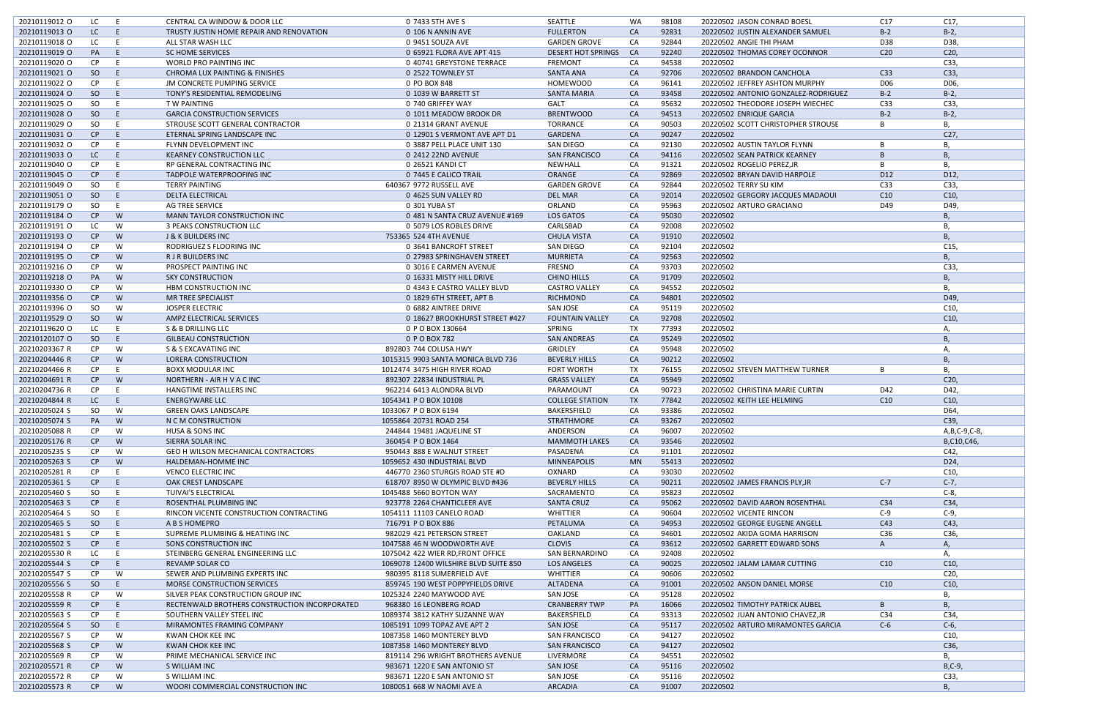| 20210119012 O | LC.           | - E      | CENTRAL CA WINDOW & DOOR LLC                  | 0 7433 5TH AVE S                      | SEATTLE                   | WA        | 98108 | 20220502 JASON CONRAD BOESL         | C17             | C17,            |
|---------------|---------------|----------|-----------------------------------------------|---------------------------------------|---------------------------|-----------|-------|-------------------------------------|-----------------|-----------------|
| 20210119013 O | LC            | - E      | TRUSTY JUSTIN HOME REPAIR AND RENOVATION      | 0 106 N ANNIN AVE                     | <b>FULLERTON</b>          | CA        | 92831 | 20220502 JUSTIN ALEXANDER SAMUEL    | $B-2$           | $B-2$           |
| 20210119018 O | LC .          | - E      | ALL STAR WASH LLC                             | 0 9451 SOUZA AVE                      | <b>GARDEN GROVE</b>       | CA        | 92844 | 20220502 ANGIE THI PHAM             | D38             | D38,            |
| 20210119019 O | PA E          |          | <b>SC HOME SERVICES</b>                       | 0 65921 FLORA AVE APT 415             | <b>DESERT HOT SPRINGS</b> | <b>CA</b> | 92240 | 20220502 THOMAS COREY OCONNOR       | C <sub>20</sub> | C <sub>20</sub> |
|               |               |          |                                               |                                       |                           |           |       |                                     |                 |                 |
| 20210119020 O | <b>CP</b>     | - E      | WORLD PRO PAINTING INC                        | 0 40741 GREYSTONE TERRACE             | <b>FREMONT</b>            | CA        | 94538 | 20220502                            |                 | C33,            |
| 20210119021 O | SO            | - E      | <b>CHROMA LUX PAINTING &amp; FINISHES</b>     | 0 2522 TOWNLEY ST                     | <b>SANTA ANA</b>          | CA        | 92706 | 20220502 BRANDON CANCHOLA           | C <sub>33</sub> | C33,            |
| 20210119022 O | CP            | - E      | <b>JM CONCRETE PUMPING SERVICE</b>            | 0 PO BOX 848                          | <b>HOMEWOOD</b>           | CA        | 96141 | 20220502 JEFFREY ASHTON MURPHY      | D <sub>06</sub> | D06,            |
| 20210119024 O | SO            | - E      | TONY'S RESIDENTIAL REMODELING                 | 0 1039 W BARRETT ST                   | <b>SANTA MARIA</b>        | CA        | 93458 | 20220502 ANTONIO GONZALEZ-RODRIGUEZ | $B-2$           | $B-2$           |
| 20210119025 O | SO            | - E      | T W PAINTING                                  | 0 740 GRIFFEY WAY                     | GALT                      | CA        | 95632 | 20220502 THEODORE JOSEPH WIECHEC    | C33             | C33,            |
| 20210119028 O | SO            | E        | <b>GARCIA CONSTRUCTION SERVICES</b>           | 0 1011 MEADOW BROOK DR                | <b>BRENTWOOD</b>          | <b>CA</b> | 94513 | 20220502 ENRIQUE GARCIA             | $B-2$           | $B-2$           |
|               |               | E        |                                               |                                       |                           | CA        | 90503 |                                     | B               | В.              |
| 20210119029 O | SO            |          | STROUSE SCOTT GENERAL CONTRACTOR              | 0 21314 GRANT AVENUE                  | TORRANCE                  |           |       | 20220502 SCOTT CHRISTOPHER STROUSE  |                 |                 |
| 20210119031 O | CP            | E        | ETERNAL SPRING LANDSCAPE INC                  | 0 12901 S VERMONT AVE APT D1          | GARDENA                   | <b>CA</b> | 90247 | 20220502                            |                 | C <sub>27</sub> |
| 20210119032 O | <b>CP</b>     | - E      | FLYNN DEVELOPMENT INC                         | 0 3887 PELL PLACE UNIT 130            | SAN DIEGO                 | CA        | 92130 | 20220502 AUSTIN TAYLOR FLYNN        | B               |                 |
| 20210119033 O | LC            | $-E$     | <b>KEARNEY CONSTRUCTION LLC</b>               | 0 2412 22ND AVENUE                    | <b>SAN FRANCISCO</b>      | <b>CA</b> | 94116 | 20220502 SEAN PATRICK KEARNEY       | $\overline{B}$  |                 |
| 20210119040 O | <b>CP</b>     | E        | RP GENERAL CONTRACTING INC                    | 0 26521 KANDI CT                      | NEWHALL                   | CA        | 91321 | 20220502 ROGELIO PEREZ, JR          | B               | В,              |
| 20210119045 O | CP            | E        | TADPOLE WATERPROOFING INC                     | 0 7445 E CALICO TRAIL                 | ORANGE                    | CA        | 92869 | 20220502 BRYAN DAVID HARPOLE        | D <sub>12</sub> | D12,            |
| 20210119049 O | SO            | E        | <b>TERRY PAINTING</b>                         | 640367 9772 RUSSELL AVE               | <b>GARDEN GROVE</b>       | CA        | 92844 | 20220502 TERRY SU KIM               | C <sub>33</sub> | C33,            |
|               |               |          |                                               |                                       |                           |           |       |                                     |                 |                 |
| 20210119051 O | <sub>SO</sub> | E        | DELTA ELECTRICAL                              | 0 4625 SUN VALLEY RD                  | <b>DEL MAR</b>            | CA        | 92014 | 20220502 GERGORY JACQUES MADAOUI    | C10             | C10,            |
| 20210119179 O | SO            | - E      | <b>AG TREE SERVICE</b>                        | 0 301 YUBA ST                         | ORLAND                    | CA        | 95963 | 20220502 ARTURO GRACIANO            | D49             | D49,            |
| 20210119184 O | CP            | <b>W</b> | <b>MANN TAYLOR CONSTRUCTION INC</b>           | 0 481 N SANTA CRUZ AVENUE #169        | LOS GATOS                 | <b>CA</b> | 95030 | 20220502                            |                 |                 |
| 20210119191 O | LC            | W        | 3 PEAKS CONSTRUCTION LLC                      | 0 5079 LOS ROBLES DRIVE               | CARLSBAD                  | CA        | 92008 | 20220502                            |                 |                 |
| 20210119193 O | CP            | W        | <b>J &amp; K BUILDERS INC</b>                 | 753365 524 4TH AVENUE                 | <b>CHULA VISTA</b>        | <b>CA</b> | 91910 | 20220502                            |                 | В.              |
| 20210119194 O | <b>CP</b>     | W        | RODRIGUEZ S FLOORING INC                      | 0 3641 BANCROFT STREET                | SAN DIEGO                 | CA        | 92104 | 20220502                            |                 | C <sub>15</sub> |
|               |               |          |                                               |                                       |                           |           |       |                                     |                 |                 |
| 20210119195 O | CP            | W        | <b>R J R BUILDERS INC</b>                     | 0 27983 SPRINGHAVEN STREET            | <b>MURRIETA</b>           | CA        | 92563 | 20220502                            |                 |                 |
| 20210119216 O | CP.           | W        | PROSPECT PAINTING INC                         | 0 3016 E CARMEN AVENUE                | <b>FRESNO</b>             | CA        | 93703 | 20220502                            |                 | C33,            |
| 20210119218 O | PA            | <b>W</b> | <b>SKY CONSTRUCTION</b>                       | 0 16331 MISTY HILL DRIVE              | <b>CHINO HILLS</b>        | <b>CA</b> | 91709 | 20220502                            |                 |                 |
| 20210119330 O | <b>CP</b>     | W        | HBM CONSTRUCTION INC                          | 0 4343 E CASTRO VALLEY BLVD           | <b>CASTRO VALLEY</b>      | CA        | 94552 | 20220502                            |                 | В.              |
| 20210119356 O | CP            | W        | MR TREE SPECIALIST                            | 0 1829 6TH STREET, APT B              | <b>RICHMOND</b>           | CA        | 94801 | 20220502                            |                 | D49,            |
| 20210119396 O | SO            | W        | <b>JOSPER ELECTRIC</b>                        | 0 6882 AINTREE DRIVE                  | SAN JOSE                  | CA        | 95119 | 20220502                            |                 | C10,            |
|               |               |          |                                               |                                       |                           |           |       |                                     |                 |                 |
| 20210119529 O | SO            | W        | AMPZ ELECTRICAL SERVICES                      | 0 18627 BROOKHURST STREET #427        | <b>FOUNTAIN VALLEY</b>    | <b>CA</b> | 92708 | 20220502                            |                 | C10,            |
| 20210119620 O | LC            | E        | S & B DRILLING LLC                            | 0 P O BOX 130664                      | SPRING                    | TX        | 77393 | 20220502                            |                 |                 |
| 20210120107 O | SO            | E.       | <b>GILBEAU CONSTRUCTION</b>                   | 0 P O BOX 782                         | <b>SAN ANDREAS</b>        | <b>CA</b> | 95249 | 20220502                            |                 |                 |
| 20210203367 R | <b>CP</b>     | W        | S & S EXCAVATING INC                          | 892803 744 COLUSA HWY                 | GRIDLEY                   | CA        | 95948 | 20220502                            |                 |                 |
| 20210204446 R | CP            | W        | <b>LORERA CONSTRUCTION</b>                    | 1015315 9903 SANTA MONICA BLVD 736    | <b>BEVERLY HILLS</b>      | <b>CA</b> | 90212 | 20220502                            |                 |                 |
| 20210204466 R | <b>CP</b>     | E        | <b>BOXX MODULAR INC</b>                       | 1012474 3475 HIGH RIVER ROAD          | <b>FORT WORTH</b>         | TX        | 76155 | 20220502 STEVEN MATTHEW TURNER      | B               | В,              |
|               | CP            | <b>W</b> | NORTHERN - AIR H V A C INC                    |                                       |                           |           | 95949 | 20220502                            |                 |                 |
| 20210204691 R |               |          |                                               | 892307 22834 INDUSTRIAL PL            | <b>GRASS VALLEY</b>       | CA        |       |                                     |                 | C <sub>20</sub> |
| 20210204736 R | <b>CP</b>     | -F       | HANGTIME INSTALLERS INC                       | 962214 6413 ALONDRA BLVD              | PARAMOUNT                 | CA        | 90723 | 20220502 CHRISTINA MARIE CURTIN     | D42             | D42,            |
| 20210204844 R | LC.           | E.       | <b>ENERGYWARE LLC</b>                         | 1054341 PO BOX 10108                  | <b>COLLEGE STATION</b>    | TX        | 77842 | 20220502 KEITH LEE HELMING          | C10             | C10,            |
| 20210205024 S | SO            | W        | <b>GREEN OAKS LANDSCAPE</b>                   | 1033067 PO BOX 6194                   | BAKERSFIELD               | CA        | 93386 | 20220502                            |                 | D64,            |
| 20210205074 S | PA            | W        | N C M CONSTRUCTION                            | 1055864 20731 ROAD 254                | STRATHMORE                | CA        | 93267 | 20220502                            |                 | C39,            |
| 20210205088 R | CP            | W        | <b>HUSA &amp; SONS INC</b>                    | 244844 19481 JAQUELINE ST             | ANDERSON                  | CA        | 96007 | 20220502                            |                 | A, B, C-9, C-8, |
| 20210205176 R | CP            | W        | SIERRA SOLAR INC                              | 360454 P O BOX 1464                   | <b>MAMMOTH LAKES</b>      | <b>CA</b> | 93546 | 20220502                            |                 | B,C10,C46,      |
|               |               |          |                                               |                                       |                           |           |       |                                     |                 |                 |
| 20210205235 S | CP            | W        | <b>GEO H WILSON MECHANICAL CONTRACTORS</b>    | 950443 888 E WALNUT STREET            | PASADENA                  | CA        | 91101 | 20220502                            |                 | C42,            |
| 20210205263 S | CP            | W        | HALDEMAN-HOMME INC                            | 1059652 430 INDUSTRIAL BLVD           | <b>MINNEAPOLIS</b>        | <b>MN</b> | 55413 | 20220502                            |                 | D <sub>24</sub> |
| 20210205281 R | CP            | E        | <b>VENCO ELECTRIC INC</b>                     | 446770 2360 STURGIS ROAD STE #D       | OXNARD                    | CA        | 93030 | 20220502                            |                 | C10,            |
| 20210205361 S | CP            | E        | OAK CREST LANDSCAPE                           | 618707 8950 W OLYMPIC BLVD #436       | <b>BEVERLY HILLS</b>      | <b>CA</b> | 90211 | 20220502 JAMES FRANCIS PLY.JR       | $C-7$           | $C-7$ ,         |
| 20210205460 S | SO            | E.       | TUIVAI'S ELECTRICAL                           | 1045488 5660 BOYTON WAY               | SACRAMENTO                | CA        | 95823 | 20220502                            |                 | $C-8$           |
| 20210205463 S | CP            | E        | ROSENTHAL PLUMBING INC                        | 923778 2264 CHANTICLEER AVE           | <b>SANTA CRUZ</b>         | <b>CA</b> | 95062 | 20220502 DAVID AARON ROSENTHAL      | C34             | C34,            |
| 20210205464 S | SO            | - E      | RINCON VICENTE CONSTRUCTION CONTRACTING       | 1054111 11103 CANELO ROAD             | WHITTIER                  | CA        | 90604 | 20220502 VICENTE RINCON             | $C-9$           | $C-9$ ,         |
|               |               |          |                                               |                                       |                           |           |       |                                     |                 |                 |
| 20210205465 S | SO            | E        | A B S HOMEPRO                                 | 716791 PO BOX 886                     | PETALUMA                  | CA        | 94953 | 20220502 GEORGE EUGENE ANGELL       | C43             | C43,            |
| 20210205481 S | CP            | E        | SUPREME PLUMBING & HEATING INC                | 982029 421 PETERSON STREET            | <b>OAKLAND</b>            | CA        | 94601 | 20220502 AKIDA GOMA HARRISON        | C36             | C36,            |
| 20210205502 S | CP            | E.       | SONS CONSTRUCTION INC                         | 1047588 46 N WOODWORTH AVE            | <b>CLOVIS</b>             | <b>CA</b> | 93612 | 20220502 GARRETT EDWARD SONS        | $\mathsf{A}$    | А,              |
| 20210205530 R | LC .          | - E      | STEINBERG GENERAL ENGINEERING LLC             | 1075042 422 WIER RD, FRONT OFFICE     | SAN BERNARDINO            | CA        | 92408 | 20220502                            |                 | А,              |
| 20210205544 S | CP            | - E      | <b>REVAMP SOLAR CO</b>                        | 1069078 12400 WILSHIRE BLVD SUITE 850 | <b>LOS ANGELES</b>        | <b>CA</b> | 90025 | 20220502 JALAM LAMAR CUTTING        | C10             | C10,            |
| 20210205547 S | CP            | W        | SEWER AND PLUMBING EXPERTS INC                | 980395 8118 SUMERFIELD AVE            | WHITTIER                  | CA        | 90606 | 20220502                            |                 | C20,            |
|               |               |          |                                               |                                       |                           |           |       |                                     |                 |                 |
| 20210205556 S | SO.           | - E      | MORSE CONSTRUCTION SERVICES                   | 859745 190 WEST POPPYFIELDS DRIVE     | ALTADENA                  | <b>CA</b> | 91001 | 20220502 ANSON DANIEL MORSE         | C10             | C10,            |
| 20210205558 R | CP            | W        | SILVER PEAK CONSTRUCTION GROUP INC            | 1025324 2240 MAYWOOD AVE              | SAN JOSE                  | CA        | 95128 | 20220502                            |                 | В,              |
| 20210205559 R | CP            | E.       | RECTENWALD BROTHERS CONSTRUCTION INCORPORATED | 968380 16 LEONBERG ROAD               | <b>CRANBERRY TWP</b>      | PA        | 16066 | 20220502 TIMOTHY PATRICK AUBEL      | B               | В,              |
| 20210205563 S | CP            | E        | SOUTHERN VALLEY STEEL INC                     | 1089374 3812 KATHY SUZANNE WAY        | BAKERSFIELD               | CA        | 93313 | 20220502 JUAN ANTONIO CHAVEZ, JR    | C34             | C34,            |
| 20210205564 S | SO            | E        | MIRAMONTES FRAMING COMPANY                    | 1085191 1099 TOPAZ AVE APT 2          | SAN JOSE                  | CA        | 95117 | 20220502 ARTURO MIRAMONTES GARCIA   | $C-6$           | $C-6$           |
| 20210205567 S | CP            | W        | KWAN CHOK KEE INC                             | 1087358 1460 MONTEREY BLVD            | <b>SAN FRANCISCO</b>      | CA        | 94127 | 20220502                            |                 | C10,            |
|               |               |          |                                               |                                       |                           |           |       |                                     |                 |                 |
| 20210205568 S | CP            | W        | KWAN CHOK KEE INC                             | 1087358 1460 MONTEREY BLVD            | <b>SAN FRANCISCO</b>      | <b>CA</b> | 94127 | 20220502                            |                 | C36,            |
| 20210205569 R | CP            | W        | PRIME MECHANICAL SERVICE INC                  | 819114 296 WRIGHT BROTHERS AVENUE     | LIVERMORE                 | CA        | 94551 | 20220502                            |                 | В,              |
| 20210205571 R | CP            | W        | S WILLIAM INC                                 | 983671 1220 E SAN ANTONIO ST          | SAN JOSE                  | <b>CA</b> | 95116 | 20220502                            |                 | $B, C-9$        |
| 20210205572 R | CP            | W        | S WILLIAM INC                                 | 983671 1220 E SAN ANTONIO ST          | SAN JOSE                  | CA        | 95116 | 20220502                            |                 | C33,            |
| 20210205573 R | CP            | W        | WOORI COMMERCIAL CONSTRUCTION INC             | 1080051 668 W NAOMI AVE A             | <b>ARCADIA</b>            | CA        | 91007 | 20220502                            |                 | В,              |